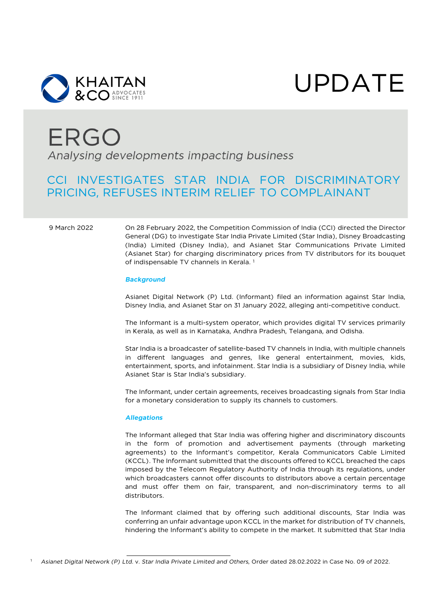

UPDATE

# **ERGO** Analysing developments impacting business

### CCI INVESTIGATES STAR INDIA FOR DISCRIMINATORY PRICING, REFUSES INTERIM RELIEF TO COMPLAINANT

9 March 2022 On 28 February 2022, the Competition Commission of India (CCI) directed the Director General (DG) to investigate Star India Private Limited (Star India), Disney Broadcasting (India) Limited (Disney India), and Asianet Star Communications Private Limited (Asianet Star) for charging discriminatory prices from TV distributors for its bouquet of indispensable TV channels in Kerala.<sup>[1](#page-0-0)</sup>

#### *Background*

Asianet Digital Network (P) Ltd. (Informant) filed an information against Star India, Disney India, and Asianet Star on 31 January 2022, alleging anti-competitive conduct.

The Informant is a multi-system operator, which provides digital TV services primarily in Kerala, as well as in Karnataka, Andhra Pradesh, Telangana, and Odisha.

Star India is a broadcaster of satellite-based TV channels in India, with multiple channels in different languages and genres, like general entertainment, movies, kids, entertainment, sports, and infotainment. Star India is a subsidiary of Disney India, while Asianet Star is Star India's subsidiary.

The Informant, under certain agreements, receives broadcasting signals from Star India for a monetary consideration to supply its channels to customers.

#### *Allegations*

The Informant alleged that Star India was offering higher and discriminatory discounts in the form of promotion and advertisement payments (through marketing agreements) to the Informant's competitor, Kerala Communicators Cable Limited (KCCL). The Informant submitted that the discounts offered to KCCL breached the caps imposed by the Telecom Regulatory Authority of India through its regulations, under which broadcasters cannot offer discounts to distributors above a certain percentage and must offer them on fair, transparent, and non-discriminatory terms to all distributors.

The Informant claimed that by offering such additional discounts, Star India was conferring an unfair advantage upon KCCL in the market for distribution of TV channels, hindering the Informant's ability to compete in the market. It submitted that Star India

<span id="page-0-0"></span> <sup>1</sup> *Asianet Digital Network (P) Ltd.* v. *Star India Private Limited and Others*, Order dated 28.02.2022 in Case No. 09 of 2022.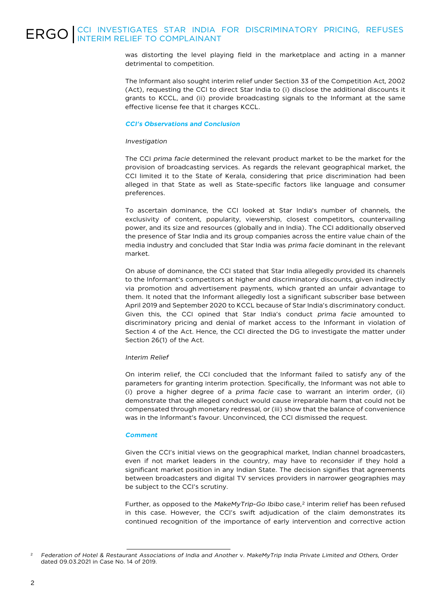## ERGO CCI INVESTIGATES STAR INDIA FOR DISCRIMINATORY PRICING, REFUSES

was distorting the level playing field in the marketplace and acting in a manner detrimental to competition.

The Informant also sought interim relief under Section 33 of the Competition Act, 2002 (Act), requesting the CCI to direct Star India to (i) disclose the additional discounts it grants to KCCL, and (ii) provide broadcasting signals to the Informant at the same effective license fee that it charges KCCL.

#### *CCI's Observations and Conclusion*

#### *Investigation*

The CCI *prima facie* determined the relevant product market to be the market for the provision of broadcasting services. As regards the relevant geographical market, the CCI limited it to the State of Kerala, considering that price discrimination had been alleged in that State as well as State-specific factors like language and consumer preferences.

To ascertain dominance, the CCI looked at Star India's number of channels, the exclusivity of content, popularity, viewership, closest competitors, countervailing power, and its size and resources (globally and in India). The CCI additionally observed the presence of Star India and its group companies across the entire value chain of the media industry and concluded that Star India was *prima facie* dominant in the relevant market.

On abuse of dominance, the CCI stated that Star India allegedly provided its channels to the Informant's competitors at higher and discriminatory discounts, given indirectly via promotion and advertisement payments, which granted an unfair advantage to them. It noted that the Informant allegedly lost a significant subscriber base between April 2019 and September 2020 to KCCL because of Star India's discriminatory conduct. Given this, the CCI opined that Star India's conduct *prima facie* amounted to discriminatory pricing and denial of market access to the Informant in violation of Section 4 of the Act. Hence, the CCI directed the DG to investigate the matter under Section 26(1) of the Act.

### *Interim Relief*

On interim relief, the CCI concluded that the Informant failed to satisfy any of the parameters for granting interim protection. Specifically, the Informant was not able to (i) prove a higher degree of a *prima facie* case to warrant an interim order, (ii) demonstrate that the alleged conduct would cause irreparable harm that could not be compensated through monetary redressal, or (iii) show that the balance of convenience was in the Informant's favour. Unconvinced, the CCI dismissed the request.

#### *Comment*

Given the CCI's initial views on the geographical market, Indian channel broadcasters, even if not market leaders in the country, may have to reconsider if they hold a significant market position in any Indian State. The decision signifies that agreements between broadcasters and digital TV services providers in narrower geographies may be subject to the CCI's scrutiny.

Further, as opposed to the *MakeMyTrip-Go Ibibo* case,<sup>[2](#page-1-0)</sup> interim relief has been refused in this case. However, the CCI's swift adjudication of the claim demonstrates its continued recognition of the importance of early intervention and corrective action

<span id="page-1-0"></span><sup>&</sup>lt;sup>2</sup> Federation of Hotel & Restaurant Associations of India and Another v. MakeMyTrip India Private Limited and Others, Order dated 09.03.2021 in Case No. 14 of 2019.